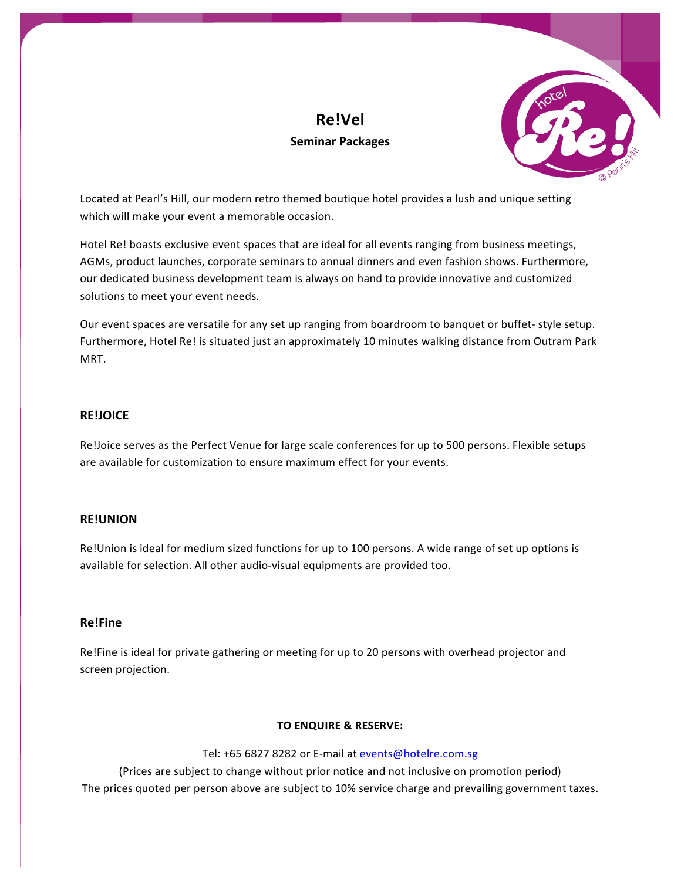# **Re!Vel Seminar Packages**



Located at Pearl's Hill, our modern retro themed boutique hotel provides a lush and unique setting which will make your event a memorable occasion.

Hotel Re! boasts exclusive event spaces that are ideal for all events ranging from business meetings, AGMs, product launches, corporate seminars to annual dinners and even fashion shows. Furthermore, our dedicated business development team is always on hand to provide innovative and customized solutions to meet your event needs.

Our event spaces are versatile for any set up ranging from boardroom to banquet or buffet- style setup. Furthermore, Hotel Re! is situated just an approximately 10 minutes walking distance from Outram Park MRT. 

### **RE!JOICE**

Re!Joice serves as the Perfect Venue for large scale conferences for up to 500 persons. Flexible setups are available for customization to ensure maximum effect for your events.

# **RE!UNION**

Re!Union is ideal for medium sized functions for up to 100 persons. A wide range of set up options is available for selection. All other audio-visual equipments are provided too.

# **Re!Fine**

Re!Fine is ideal for private gathering or meeting for up to 20 persons with overhead projector and screen projection.

#### **TO ENQUIRE & RESERVE:**

Tel: +65 6827 8282 or E-mail at events@hotelre.com.sg

(Prices are subject to change without prior notice and not inclusive on promotion period) The prices quoted per person above are subject to 10% service charge and prevailing government taxes.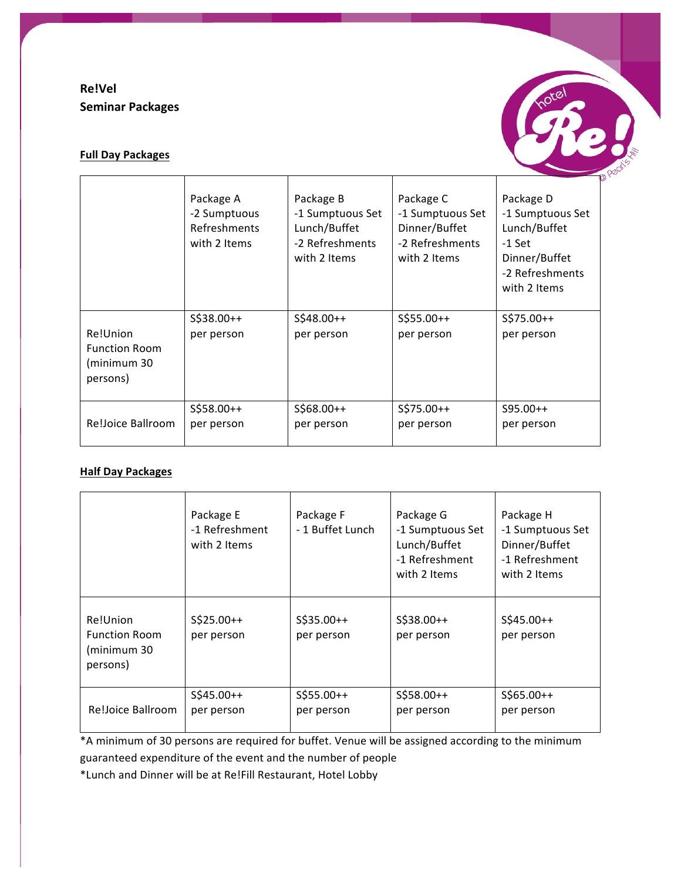# **Re!Vel Seminar Packages**



# **Full Day Packages**

|                                                             | Package A<br>-2 Sumptuous<br>Refreshments<br>with 2 Items | Package B<br>-1 Sumptuous Set<br>Lunch/Buffet<br>-2 Refreshments<br>with 2 Items | Package C<br>-1 Sumptuous Set<br>Dinner/Buffet<br>-2 Refreshments<br>with 2 Items | Package D<br>-1 Sumptuous Set<br>Lunch/Buffet<br>$-1$ Set<br>Dinner/Buffet<br>-2 Refreshments<br>with 2 Items |
|-------------------------------------------------------------|-----------------------------------------------------------|----------------------------------------------------------------------------------|-----------------------------------------------------------------------------------|---------------------------------------------------------------------------------------------------------------|
| Re!Union<br><b>Function Room</b><br>(minimum 30<br>persons) | S\$38.00++<br>per person                                  | S\$48.00++<br>per person                                                         | $S$55.00++$<br>per person                                                         | $S$75.00++$<br>per person                                                                                     |
| Re!Joice Ballroom                                           | $S$58.00++$<br>per person                                 | $$5568.00++$<br>per person                                                       | $S$75.00++$<br>per person                                                         | $S95.00++$<br>per person                                                                                      |

# **Half Day Packages**

|                                                             | Package E<br>-1 Refreshment<br>with 2 Items | Package F<br>- 1 Buffet Lunch | Package G<br>-1 Sumptuous Set<br>Lunch/Buffet<br>-1 Refreshment<br>with 2 Items | Package H<br>-1 Sumptuous Set<br>Dinner/Buffet<br>-1 Refreshment<br>with 2 Items |
|-------------------------------------------------------------|---------------------------------------------|-------------------------------|---------------------------------------------------------------------------------|----------------------------------------------------------------------------------|
| Re!Union<br><b>Function Room</b><br>(minimum 30<br>persons) | $S$25.00++$<br>per person                   | $S$35.00++$<br>per person     | $S$38.00++$<br>per person                                                       | $S$45.00++$<br>per person                                                        |
| Re!Joice Ballroom                                           | $S$45.00++$<br>per person                   | $S$55.00++$<br>per person     | $S$58.00++$<br>per person                                                       | $S$65.00++$<br>per person                                                        |

\*A minimum of 30 persons are required for buffet. Venue will be assigned according to the minimum guaranteed expenditure of the event and the number of people

\*Lunch and Dinner will be at Re!Fill Restaurant, Hotel Lobby